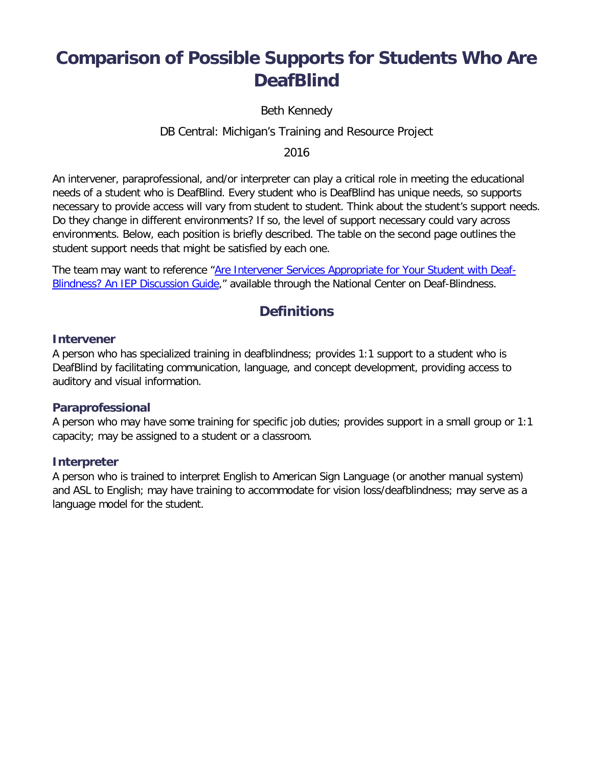# **Comparison of Possible Supports for Students Who Are DeafBlind**

## Beth Kennedy

## DB Central: Michigan's Training and Resource Project

2016

An intervener, paraprofessional, and/or interpreter can play a critical role in meeting the educational needs of a student who is DeafBlind. Every student who is DeafBlind has unique needs, so supports necessary to provide access will vary from student to student. Think about the student's support needs. Do they change in different environments? If so, the level of support necessary could vary across environments. Below, each position is briefly described. The table on the second page outlines the student support needs that might be satisfied by each one.

The team may want to reference ["Are Intervener Services Appropriate for Your Student with Deaf-](https://nationaldb.org/library/page/2598)[Blindness? An IEP Discussion Guide,](https://nationaldb.org/library/page/2598)" available through the National Center on Deaf-Blindness.

# **Definitions**

#### **Intervener**

A person who has specialized training in deafblindness; provides 1:1 support to a student who is DeafBlind by facilitating communication, language, and concept development, providing access to auditory and visual information.

#### **Paraprofessional**

A person who may have some training for specific job duties; provides support in a small group or 1:1 capacity; may be assigned to a student or a classroom.

### **Interpreter**

A person who is trained to interpret English to American Sign Language (or another manual system) and ASL to English; may have training to accommodate for vision loss/deafblindness; may serve as a language model for the student.